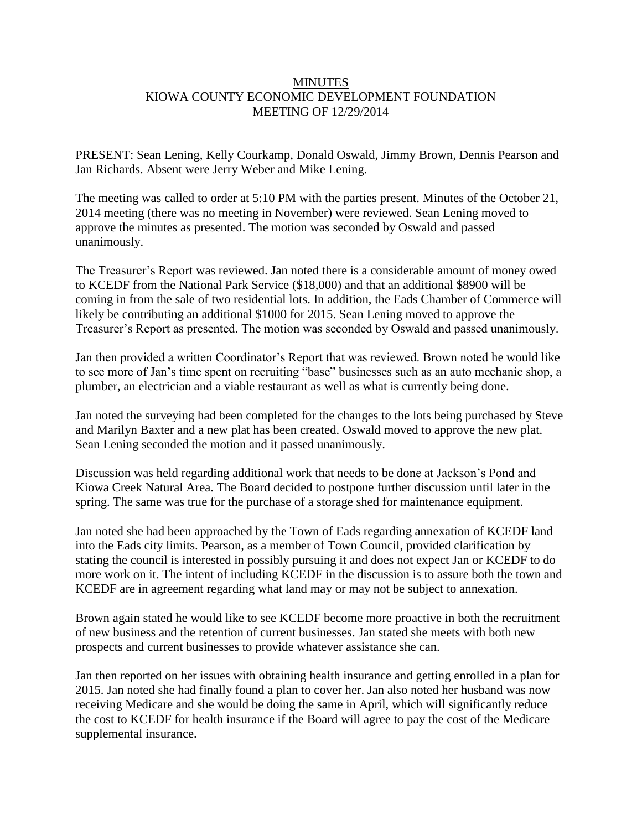## **MINUTES** KIOWA COUNTY ECONOMIC DEVELOPMENT FOUNDATION MEETING OF 12/29/2014

PRESENT: Sean Lening, Kelly Courkamp, Donald Oswald, Jimmy Brown, Dennis Pearson and Jan Richards. Absent were Jerry Weber and Mike Lening.

The meeting was called to order at 5:10 PM with the parties present. Minutes of the October 21, 2014 meeting (there was no meeting in November) were reviewed. Sean Lening moved to approve the minutes as presented. The motion was seconded by Oswald and passed unanimously.

The Treasurer's Report was reviewed. Jan noted there is a considerable amount of money owed to KCEDF from the National Park Service (\$18,000) and that an additional \$8900 will be coming in from the sale of two residential lots. In addition, the Eads Chamber of Commerce will likely be contributing an additional \$1000 for 2015. Sean Lening moved to approve the Treasurer's Report as presented. The motion was seconded by Oswald and passed unanimously.

Jan then provided a written Coordinator's Report that was reviewed. Brown noted he would like to see more of Jan's time spent on recruiting "base" businesses such as an auto mechanic shop, a plumber, an electrician and a viable restaurant as well as what is currently being done.

Jan noted the surveying had been completed for the changes to the lots being purchased by Steve and Marilyn Baxter and a new plat has been created. Oswald moved to approve the new plat. Sean Lening seconded the motion and it passed unanimously.

Discussion was held regarding additional work that needs to be done at Jackson's Pond and Kiowa Creek Natural Area. The Board decided to postpone further discussion until later in the spring. The same was true for the purchase of a storage shed for maintenance equipment.

Jan noted she had been approached by the Town of Eads regarding annexation of KCEDF land into the Eads city limits. Pearson, as a member of Town Council, provided clarification by stating the council is interested in possibly pursuing it and does not expect Jan or KCEDF to do more work on it. The intent of including KCEDF in the discussion is to assure both the town and KCEDF are in agreement regarding what land may or may not be subject to annexation.

Brown again stated he would like to see KCEDF become more proactive in both the recruitment of new business and the retention of current businesses. Jan stated she meets with both new prospects and current businesses to provide whatever assistance she can.

Jan then reported on her issues with obtaining health insurance and getting enrolled in a plan for 2015. Jan noted she had finally found a plan to cover her. Jan also noted her husband was now receiving Medicare and she would be doing the same in April, which will significantly reduce the cost to KCEDF for health insurance if the Board will agree to pay the cost of the Medicare supplemental insurance.